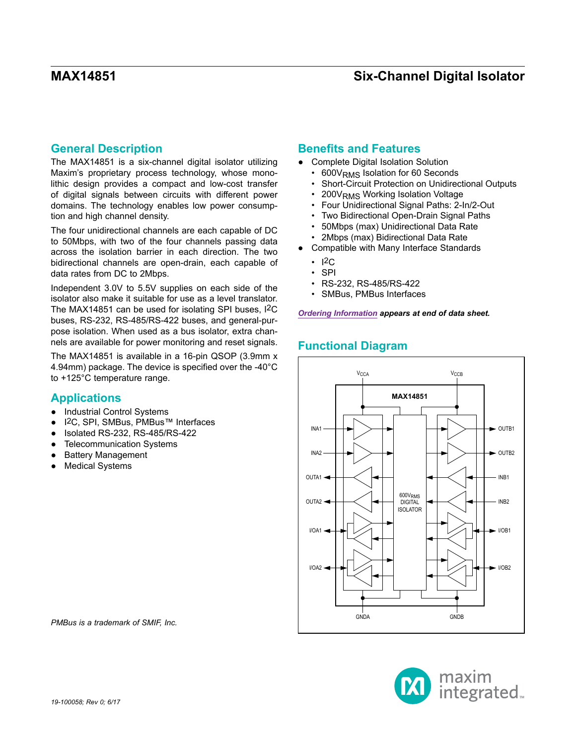## **General Description**

The MAX14851 is a six-channel digital isolator utilizing Maxim's proprietary process technology, whose monolithic design provides a compact and low-cost transfer of digital signals between circuits with different power domains. The technology enables low power consumption and high channel density.

The four unidirectional channels are each capable of DC to 50Mbps, with two of the four channels passing data across the isolation barrier in each direction. The two bidirectional channels are open-drain, each capable of data rates from DC to 2Mbps.

Independent 3.0V to 5.5V supplies on each side of the isolator also make it suitable for use as a level translator. The MAX14851 can be used for isolating SPI buses, I2C buses, RS-232, RS-485/RS-422 buses, and general-purpose isolation. When used as a bus isolator, extra channels are available for power monitoring and reset signals.

The MAX14851 is available in a 16-pin QSOP (3.9mm x 4.94mm) package. The device is specified over the -40°C to +125°C temperature range.

## **Applications**

- Industrial Control Systems
- I<sup>2</sup>C, SPI, SMBus, PMBus™ Interfaces
- Isolated RS-232, RS-485/RS-422
- **Telecommunication Systems**
- **Battery Management**
- **Medical Systems**

## **Benefits and Features**

- Complete Digital Isolation Solution
	- 600 V<sub>RMS</sub> Isolation for 60 Seconds
	- Short-Circuit Protection on Unidirectional Outputs
	- 200VRMS Working Isolation Voltage
	- Four Unidirectional Signal Paths: 2-In/2-Out
	- Two Bidirectional Open-Drain Signal Paths
	- 50Mbps (max) Unidirectional Data Rate
	- 2Mbps (max) Bidirectional Data Rate
- Compatible with Many Interface Standards
	- $\cdot$  I2C.
	- SPI
	- RS-232, RS-485/RS-422
	- SMBus, PMBus Interfaces

*[Ordering Information](#page-17-0) appears at end of data sheet.*

# **Functional Diagram**



*PMBus is a trademark of SMIF, Inc.*

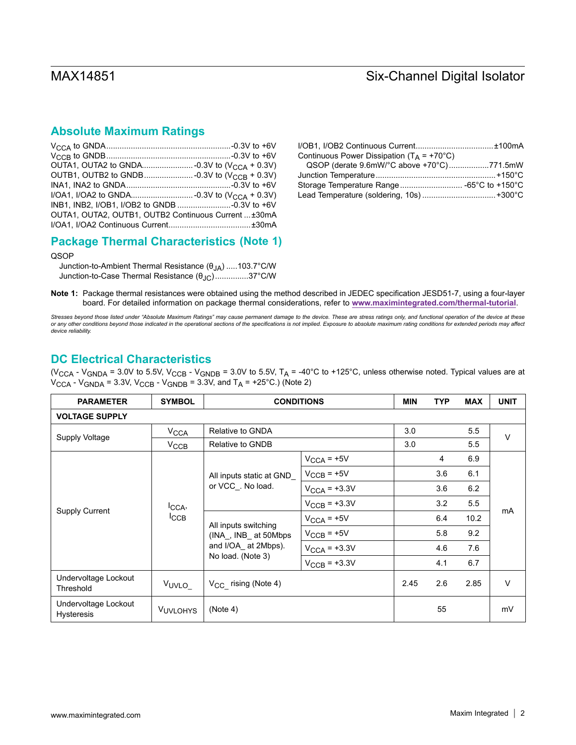## **Absolute Maximum Ratings**

| INB1, INB2, I/OB1, I/OB2 to GNDB -0.3V to +6V       |  |
|-----------------------------------------------------|--|
| OUTA1, OUTA2, OUTB1, OUTB2 Continuous Current ±30mA |  |
|                                                     |  |

## **Package Thermal Characteristics (Note 1)**

### QSOP

Junction-to-Ambient Thermal Resistance (θJA) .....103.7°C/W Junction-to-Case Thermal Resistance (θJC)...............37°C/W

| Continuous Power Dissipation ( $T_A$ = +70°C) |  |
|-----------------------------------------------|--|
| QSOP (derate 9.6mW/°C above +70°C)771.5mW     |  |
|                                               |  |
|                                               |  |
|                                               |  |

**Note 1:** Package thermal resistances were obtained using the method described in JEDEC specification JESD51-7, using a four-layer board. For detailed information on package thermal considerations, refer to **[www.maximintegrated.com/thermal-tutorial](http://www.maximintegrated.com/thermal-tutorial)**.

*Stresses beyond those listed under "Absolute Maximum Ratings" may cause permanent damage to the device. These are stress ratings only, and functional operation of the device at these or any other conditions beyond those indicated in the operational sections of the specifications is not implied. Exposure to absolute maximum rating conditions for extended periods may affect device reliability.*

## <span id="page-1-0"></span>**DC Electrical Characteristics**

(V<sub>CCA</sub> - V<sub>GNDA</sub> = 3.0V to 5.5V, V<sub>CCB</sub> - V<sub>GNDB</sub> = 3.0V to 5.5V, T<sub>A</sub> = -40°C to +125°C, unless otherwise noted. Typical values are at  $V_{\text{CCA}}$  -  $V_{\text{GNDA}}$  = 3.3V,  $V_{\text{CCB}}$  -  $V_{\text{GNDB}}$  = 3.3V, and  $T_A$  = +25°C.) (Note 2)

| <b>PARAMETER</b>                          | <b>SYMBOL</b>        | <b>CONDITIONS</b>                            |                          | <b>MIN</b> | <b>TYP</b> | <b>MAX</b> | <b>UNIT</b> |  |
|-------------------------------------------|----------------------|----------------------------------------------|--------------------------|------------|------------|------------|-------------|--|
| <b>VOLTAGE SUPPLY</b>                     |                      |                                              |                          |            |            |            |             |  |
|                                           | V <sub>CCA</sub>     | Relative to GNDA                             |                          | 3.0        |            | 5.5        | $\vee$      |  |
| Supply Voltage                            | $V_{\text{CCB}}$     | Relative to GNDB                             |                          | 3.0        |            | 5.5        |             |  |
|                                           |                      |                                              | $V_{\text{CCA}}$ = +5V   |            | 4          | 6.9        |             |  |
|                                           |                      | All inputs static at GND_                    | $V_{\text{CCB}} = +5V$   |            | 3.6        | 6.1        |             |  |
|                                           | ICCA,<br><b>ICCB</b> | or VCC_. No load.                            | $V_{\text{CCA}}$ = +3.3V |            | 3.6        | 6.2        | mA          |  |
|                                           |                      |                                              | $V_{\text{CCB}} = +3.3V$ |            | 3.2        | 5.5        |             |  |
| <b>Supply Current</b>                     |                      | All inputs switching<br>(INA, INB at 50Mbps) | $V_{\text{CCA}}$ = +5V   |            | 6.4        | 10.2       |             |  |
|                                           |                      |                                              | $V_{\text{CCB}} = +5V$   |            | 5.8        | 9.2        |             |  |
|                                           |                      | and I/OA_ at 2Mbps).                         | $V_{\text{CCA}}$ = +3.3V |            | 4.6        | 7.6        |             |  |
|                                           |                      | No load. (Note 3)                            | $V_{\text{CCB}} = +3.3V$ |            | 4.1        | 6.7        |             |  |
| Undervoltage Lockout<br>Threshold         | V <sub>UVLO</sub>    | V <sub>CC</sub> rising (Note 4)              |                          | 2.45       | 2.6        | 2.85       | V           |  |
| Undervoltage Lockout<br><b>Hysteresis</b> | <b>VUVLOHYS</b>      | (Note 4)                                     |                          |            | 55         |            | mV          |  |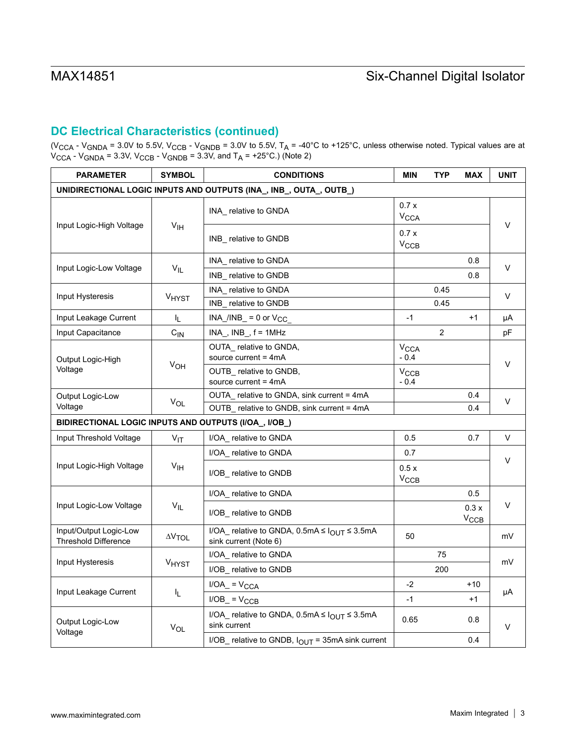# **DC Electrical Characteristics (continued)**

(V<sub>CCA</sub> - V<sub>GNDA</sub> = 3.0V to 5.5V, V<sub>CCB</sub> - V<sub>GNDB</sub> = 3.0V to 5.5V, T<sub>A</sub> = -40°C to +125°C, unless otherwise noted. Typical values are at  $\rm V_{CCA}$  -  $\rm V_{GNDA}$  = 3.3V,  $\rm V_{CCB}$  -  $\rm V_{GNDB}$  = 3.3V, and T<sub>A</sub> = +25°C.) (Note 2)

| <b>PARAMETER</b>                                      | <b>SYMBOL</b>         | <b>CONDITIONS</b>                                                                |                                  | TYP            | <b>MAX</b>               | <b>UNIT</b> |
|-------------------------------------------------------|-----------------------|----------------------------------------------------------------------------------|----------------------------------|----------------|--------------------------|-------------|
|                                                       |                       | UNIDIRECTIONAL LOGIC INPUTS AND OUTPUTS (INA_, INB_, OUTA_, OUTB_)               |                                  |                |                          |             |
|                                                       |                       | INA_ relative to GNDA                                                            | 0.7x<br><b>V<sub>CCA</sub></b>   |                |                          |             |
| Input Logic-High Voltage                              | V <sub>IH</sub>       | INB relative to GNDB                                                             | 0.7x<br>$V_{\text{CCB}}$         |                |                          | V           |
|                                                       |                       | INA_ relative to GNDA                                                            |                                  |                | 0.8                      | V           |
| Input Logic-Low Voltage                               | $V_{IL}$              | INB relative to GNDB                                                             |                                  |                | 0.8                      |             |
| Input Hysteresis                                      | <b>VHYST</b>          | INA relative to GNDA                                                             |                                  | 0.45           |                          | V           |
|                                                       |                       | INB relative to GNDB                                                             |                                  | 0.45           |                          |             |
| Input Leakage Current                                 | I <sub>L</sub>        | $INA_I/INB_ = 0$ or $V_{CC}$                                                     | $-1$                             |                | $+1$                     | μA          |
| Input Capacitance                                     | $C_{IN}$              | $INA$ , $INB$ , $f = 1MHz$                                                       |                                  | $\overline{2}$ |                          | pF          |
| Output Logic-High<br>Voltage                          |                       | OUTA relative to GNDA,<br>source current = $4mA$                                 | <b>V<sub>CCA</sub></b><br>$-0.4$ |                |                          | V           |
|                                                       | V <sub>OH</sub>       | OUTB_ relative to GNDB,<br>source current $=$ 4mA                                | $V_{\text{CCB}}$<br>$-0.4$       |                |                          |             |
| Output Logic-Low<br><b>V<sub>OL</sub></b><br>Voltage  |                       | OUTA relative to GNDA, sink current = 4mA                                        |                                  |                | 0.4                      | V           |
|                                                       |                       | OUTB_ relative to GNDB, sink current = 4mA                                       |                                  |                | 0.4                      |             |
| BIDIRECTIONAL LOGIC INPUTS AND OUTPUTS (I/OA_, I/OB_) |                       |                                                                                  |                                  |                |                          |             |
| Input Threshold Voltage                               | $V_{IT}$              | I/OA relative to GNDA                                                            | 0.5                              |                | 0.7                      | V           |
|                                                       |                       | I/OA relative to GNDA                                                            | 0.7                              |                |                          | $\vee$      |
| Input Logic-High Voltage                              | V <sub>IH</sub>       | I/OB_ relative to GNDB                                                           | 0.5x<br>$V_{\text{CCB}}$         |                |                          |             |
|                                                       |                       | I/OA relative to GNDA                                                            |                                  |                | 0.5                      |             |
| Input Logic-Low Voltage                               | $V_{IL}$              | I/OB_ relative to GNDB                                                           |                                  |                | 0.3x<br>$V_{\text{CCB}}$ | V           |
| Input/Output Logic-Low<br><b>Threshold Difference</b> | $\Delta V$ TOL        | I/OA_ relative to GNDA, $0.5mA \leq I_{OUT} \leq 3.5mA$<br>sink current (Note 6) | 50                               |                |                          | mV          |
|                                                       |                       | I/OA relative to GNDA                                                            |                                  | 75             |                          |             |
| Input Hysteresis                                      | <b>VHYST</b>          | I/OB relative to GNDB                                                            |                                  | 200            |                          | mV          |
|                                                       |                       | $I/OA$ = $V_{CCA}$                                                               | $-2$                             |                | +10                      |             |
| Input Leakage Current                                 | I <sub>L</sub>        | $I/OB$ = $V_{CCB}$                                                               | $-1$                             |                | $+1$                     | μA          |
| Output Logic-Low                                      | <b>V<sub>OL</sub></b> | I/OA_ relative to GNDA, $0.5mA \leq I_{OUT} \leq 3.5mA$<br>sink current          | 0.65                             |                | 0.8                      | V           |
| Voltage                                               |                       | I/OB_ relative to GNDB, $I_{OUT}$ = 35mA sink current                            |                                  |                | 0.4                      |             |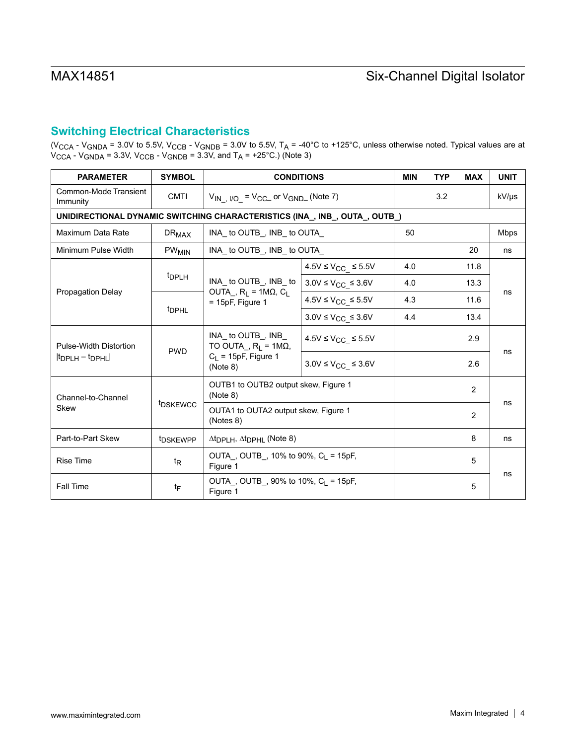## **Switching Electrical Characteristics**

(V<sub>CCA</sub> - V<sub>GNDA</sub> = 3.0V to 5.5V, V<sub>CCB</sub> - V<sub>GNDB</sub> = 3.0V to 5.5V, T<sub>A</sub> = -40°C to +125°C, unless otherwise noted. Typical values are at  $V_{\text{CCA}}$  -  $V_{\text{GNDA}}$  = 3.3V,  $V_{\text{CCB}}$  -  $V_{\text{GNDB}}$  = 3.3V, and T<sub>A</sub> = +25°C.) (Note 3)

| <b>PARAMETER</b>                       | <b>SYMBOL</b>           | <b>CONDITIONS</b>                                                                                    |                                  | <b>MIN</b> | <b>TYP</b> | <b>MAX</b> | <b>UNIT</b> |
|----------------------------------------|-------------------------|------------------------------------------------------------------------------------------------------|----------------------------------|------------|------------|------------|-------------|
| Common-Mode Transient<br>Immunity      | <b>CMTI</b>             | $V_{IN}$ $_{IVO}$ = $V_{CC-}$ or $V_{GND-}$ (Note 7)                                                 |                                  |            | 3.2        |            | kV/µs       |
|                                        |                         | UNIDIRECTIONAL DYNAMIC SWITCHING CHARACTERISTICS (INA_, INB_, OUTA_, OUTB_)                          |                                  |            |            |            |             |
| Maximum Data Rate                      | $DR_{MAX}$              | INA to OUTB, INB to OUTA                                                                             |                                  | 50         |            |            | <b>Mbps</b> |
| Minimum Pulse Width                    | <b>PW<sub>MIN</sub></b> | INA to OUTB , INB to OUTA                                                                            |                                  |            |            | 20         | ns          |
|                                        |                         |                                                                                                      | $4.5V \leq V_{CC} \leq 5.5V$     | 4.0        |            | 11.8       |             |
|                                        | t <sub>DPLH</sub>       | INA_ to OUTB_, INB_ to                                                                               | $3.0V \leq V_{CC} \leq 3.6V$     | 4.0        |            | 13.3       |             |
| <b>Propagation Delay</b>               | <sup>t</sup> DPHL       | OUTA, $R_1 = 1M\Omega$ , $C_1$<br>$= 15pF$ . Figure 1                                                | $4.5V \leq V_{CC} \leq 5.5V$     | 4.3        |            | 11.6       | ns          |
|                                        |                         |                                                                                                      | $3.0V \leq V_{CC} \leq 3.6V$     | 4.4        |            | 13.4       |             |
| Pulse-Width Distortion                 |                         | INA to OUTB, INB<br>TO OUTA_, $R_L = 1M\Omega$ ,<br><b>PWD</b><br>$C_1$ = 15pF, Figure 1<br>(Note 8) | $4.5V \leq V_{CC_{-}} \leq 5.5V$ |            |            | 2.9        |             |
| $ t_{\text{DPI H}} - t_{\text{DPHI}} $ |                         |                                                                                                      | $3.0V \leq V_{CC} \leq 3.6V$     |            |            | 2.6        | ns          |
| Channel-to-Channel                     |                         | OUTB1 to OUTB2 output skew, Figure 1<br>(Note 8)                                                     |                                  |            |            | 2          | ns          |
| Skew                                   | <b><i>IDSKEWCC</i></b>  | OUTA1 to OUTA2 output skew, Figure 1<br>(Notes 8)                                                    |                                  |            |            | 2          |             |
| Part-to-Part Skew                      | t <sub>DSKEWPP</sub>    | $\Delta t_{\text{DPLH}}$ , $\Delta t_{\text{DPHL}}$ (Note 8)                                         |                                  |            |            | 8          | ns          |
| <b>Rise Time</b>                       | $t_{\mathsf{R}}$        | OUTA, OUTB, 10% to 90%, $C_1 = 15pF$ ,<br>Figure 1                                                   |                                  |            | 5          |            |             |
| <b>Fall Time</b>                       | tF                      | OUTA, OUTB, 90% to 10%, $C_1 = 15pF$ ,<br>Figure 1                                                   |                                  |            |            | 5          | ns          |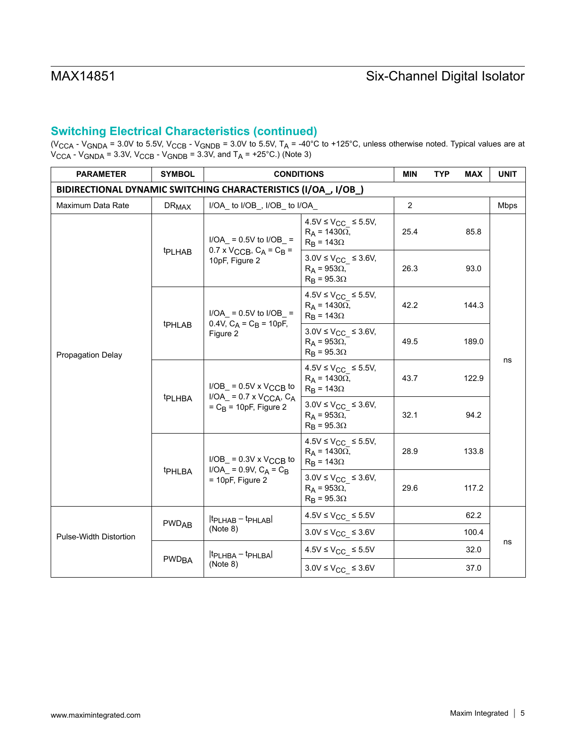# **Switching Electrical Characteristics (continued)**

(V<sub>CCA</sub> - V<sub>GNDA</sub> = 3.0V to 5.5V, V<sub>CCB</sub> - V<sub>GNDB</sub> = 3.0V to 5.5V, T<sub>A</sub> = -40°C to +125°C, unless otherwise noted. Typical values are at  $\rm V_{CCA}$  -  $\rm V_{GNDA}$  = 3.3V,  $\rm V_{CCB}$  -  $\rm V_{GNDB}$  = 3.3V, and T<sub>A</sub> = +25°C.) (Note 3)

| <b>PARAMETER</b>                                               | <b>SYMBOL</b>           | <b>CONDITIONS</b>                                                                                                                                                                                              |                                                                                   | <b>MIN</b> | <b>TYP</b> | <b>MAX</b> | <b>UNIT</b> |
|----------------------------------------------------------------|-------------------------|----------------------------------------------------------------------------------------------------------------------------------------------------------------------------------------------------------------|-----------------------------------------------------------------------------------|------------|------------|------------|-------------|
| BIDIRECTIONAL DYNAMIC SWITCHING CHARACTERISTICS (I/OA_, I/OB_) |                         |                                                                                                                                                                                                                |                                                                                   |            |            |            |             |
| Maximum Data Rate                                              | <b>DR<sub>MAX</sub></b> | I/OA_ to I/OB_, I/OB_ to I/OA_                                                                                                                                                                                 |                                                                                   |            |            |            | <b>Mbps</b> |
| <b>Propagation Delay</b>                                       |                         | $I/OA$ = 0.5V to $I/OB$ =                                                                                                                                                                                      | $4.5V \leq V_{CC}$ ≤ 5.5V,<br>$R_A$ = 1430 $\Omega$ ,<br>$R_B$ = 143 $\Omega$     | 25.4       |            | 85.8       |             |
|                                                                | <b>t</b> PLHAB          | $0.7 \times V_{\text{CCB}}$ , $C_A = C_B =$<br>10pF, Figure 2                                                                                                                                                  | $3.0V \leq V_{CC} \leq 3.6V$ ,<br>$R_A$ = 953 $\Omega$ ,<br>$R_B = 95.3\Omega$    | 26.3       |            | 93.0       |             |
|                                                                |                         | $I/OA$ = 0.5V to $I/OB$ =<br>0.4V, $C_A = C_B = 10pF$ ,                                                                                                                                                        | $4.5V \leq V_{CC} \leq 5.5V$ ,<br>$R_A$ = 1430 $\Omega$ ,<br>$R_B = 143\Omega$    | 42.2       |            | 144.3      |             |
|                                                                | t <sub>PHLAB</sub>      | Figure 2                                                                                                                                                                                                       | $3.0V \leq V_{CC} \leq 3.6V$ ,<br>$R_A$ = 953 $\Omega$ ,<br>$R_B$ = 95.3 $\Omega$ | 49.5       |            | 189.0      |             |
|                                                                | <b>tPLHBA</b>           | $I/OB$ = 0.5V x V <sub>CCB</sub> to<br>$I/OA$ = 0.7 x $VCCA$ , $C_A$<br>$=C_{\rm B}$ = 10pF, Figure 2<br>$I/OB$ = 0.3V x V <sub>CCB</sub> to<br>$I/OA_$ = 0.9V, $C_A$ = $C_B$<br>tPHLBA<br>$= 10pF$ , Figure 2 | $4.5V \leq V_{CC} \leq 5.5V$ ,<br>$R_A$ = 1430 $\Omega$ ,<br>$R_B = 143\Omega$    | 43.7       |            | 122.9      | ns          |
|                                                                |                         |                                                                                                                                                                                                                | $3.0V \leq V_{CC} \leq 3.6V$ ,<br>$R_A$ = 953 $\Omega$ ,<br>$R_B$ = 95.3 $\Omega$ | 32.1       |            | 94.2       |             |
|                                                                |                         |                                                                                                                                                                                                                | $4.5V \leq V_{CC} \leq 5.5V$ ,<br>$R_A$ = 1430 $\Omega$ ,<br>$R_B = 143\Omega$    | 28.9       |            | 133.8      |             |
|                                                                |                         |                                                                                                                                                                                                                | $3.0V \leq V_{CC} \leq 3.6V$ ,<br>$R_A$ = 953 $\Omega$ ,<br>$R_B$ = 95.30         | 29.6       |            | 117.2      |             |
|                                                                |                         | $ t_{\text{PLHAB}} - t_{\text{PHLAB}} $                                                                                                                                                                        | $4.5V \leq V_{CC} \leq 5.5V$                                                      |            |            | 62.2       |             |
| <b>Pulse-Width Distortion</b>                                  | <b>PWDAB</b>            | (Note 8)                                                                                                                                                                                                       | $3.0V \leq V_{CC} \leq 3.6V$                                                      |            |            | 100.4      |             |
|                                                                |                         | $ t_{\text{PLHBA}} - t_{\text{PHLBA}} $                                                                                                                                                                        | $4.5V \leq V_{CC_{-}} \leq 5.5V$                                                  |            |            | 32.0       | ns          |
|                                                                | <b>PWD<sub>BA</sub></b> | (Note 8)                                                                                                                                                                                                       | $3.0V \leq V_{CC} \leq 3.6V$                                                      |            |            | 37.0       |             |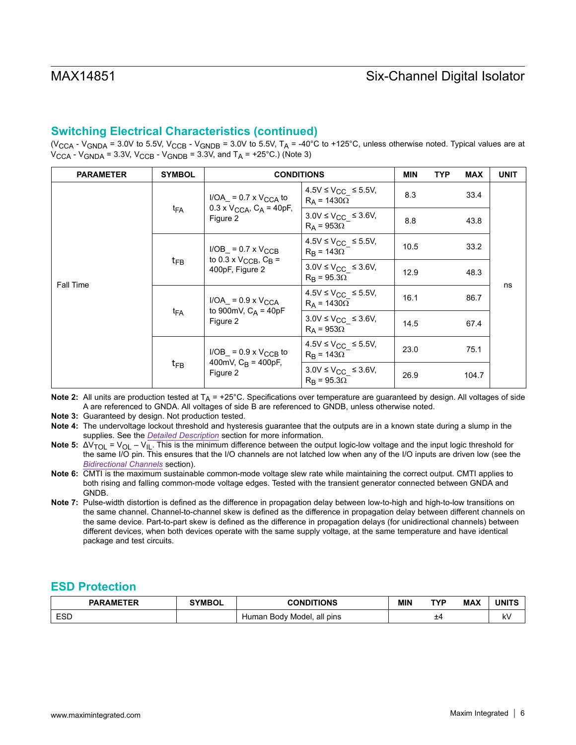# **Switching Electrical Characteristics (continued)**

(V<sub>CCA</sub> - V<sub>GNDA</sub> = 3.0V to 5.5V, V<sub>CCB</sub> - V<sub>GNDB</sub> = 3.0V to 5.5V, T<sub>A</sub> = -40°C to +125°C, unless otherwise noted. Typical values are at  $V_{\text{CCA}}$  -  $V_{\text{GNDA}}$  = 3.3V,  $V_{\text{CCB}}$  -  $V_{\text{GNDB}}$  = 3.3V, and  $T_A$  = +25°C.) (Note 3)

| <b>PARAMETER</b> | <b>SYMBOL</b>                                                              | <b>CONDITIONS</b>                                                                       | MIN                                                     | <b>TYP</b> | <b>MAX</b> | <b>UNIT</b> |    |
|------------------|----------------------------------------------------------------------------|-----------------------------------------------------------------------------------------|---------------------------------------------------------|------------|------------|-------------|----|
| Fall Time        |                                                                            | $I/OA$ = 0.7 x $V_{CCA}$ to<br>$0.3 \times V_{\text{CCA}}$ , $C_A = 40pF$ ,<br>Figure 2 | $4.5V \leq V_{CC} \leq 5.5V$ ,<br>$R_A$ = 1430 $\Omega$ | 8.3        |            | 33.4        |    |
|                  | t <sub>FA</sub>                                                            |                                                                                         | $3.0V \leq V_{CC} \leq 3.6V$ ,<br>$R_A$ = 953 $\Omega$  | 8.8        |            | 43.8        |    |
|                  |                                                                            | $I/OB$ = 0.7 x $V_{\text{CCB}}$                                                         | $4.5V \leq V_{CC} \leq 5.5V$ ,<br>$R_R = 143\Omega$     | 10.5       |            | 33.2        |    |
|                  | $t_{FB}$                                                                   | to 0.3 x $V_{\text{CCB}}$ , $C_{\text{B}}$ =<br>400pF, Figure 2                         | $3.0V \leq V_{CC} \leq 3.6V$ ,<br>$R_R = 95.3\Omega$    | 12.9       |            | 48.3        |    |
|                  | $I/OA$ = 0.9 x $V_{CCA}$<br>to 900mV, $C_A$ = 40pF<br>$t_{FA}$<br>Figure 2 |                                                                                         | 4.5V ≤ V <sub>CC</sub> ≤ 5.5V,<br>$R_A$ = 1430 $\Omega$ | 16.1       |            | 86.7        | ns |
|                  |                                                                            |                                                                                         | $3.0V \leq V_{CC} \leq 3.6V$ ,<br>$R_A$ = 953 $\Omega$  | 14.5       |            | 67.4        |    |
|                  | $t_{FB}$<br>Figure 2                                                       | $I/OB$ = 0.9 x $V_{CCB}$ to                                                             | $4.5V \leq V_{CC} \leq 5.5V$ ,<br>$R_R = 143\Omega$     | 23.0       |            | 75.1        |    |
|                  |                                                                            | 400mV, $C_B$ = 400pF,                                                                   | $3.0V \leq V_{CC} \leq 3.6V$ ,<br>$R_B = 95.3\Omega$    | 26.9       |            | 104.7       |    |

**Note 2:** All units are production tested at T<sub>A</sub> = +25°C. Specifications over temperature are guaranteed by design. All voltages of side A are referenced to GNDA. All voltages of side B are referenced to GNDB, unless otherwise noted.

**Note 3:** Guaranteed by design. Not production tested.

- **Note 4:** The undervoltage lockout threshold and hysteresis guarantee that the outputs are in a known state during a slump in the supplies. See the *[Detailed Description](#page-12-0)* section for more information.
- Note 5: ΔV<sub>TOL</sub> = V<sub>OL</sub> V<sub>IL</sub>. This is the minimum difference between the output logic-low voltage and the input logic threshold for the same I/O pin. This ensures that the I/O channels are not latched low when any of the I/O inputs are driven low (see the *[Bidirectional Channels](#page-12-1)* section).
- **Note 6:** CMTI is the maximum sustainable common-mode voltage slew rate while maintaining the correct output. CMTI applies to both rising and falling common-mode voltage edges. Tested with the transient generator connected between GNDA and GNDB.
- **Note 7:** Pulse-width distortion is defined as the difference in propagation delay between low-to-high and high-to-low transitions on the same channel. Channel-to-channel skew is defined as the difference in propagation delay between different channels on the same device. Part-to-part skew is defined as the difference in propagation delays (for unidirectional channels) between different devices, when both devices operate with the same supply voltage, at the same temperature and have identical package and test circuits.

## **ESD Protection**

| <b>PARAMETER</b>  | <b>SYMBOL</b> | CONDITIONS                       | MIN | <b>TYP</b> | <b>MAX</b> | <b>UNITS</b> |
|-------------------|---------------|----------------------------------|-----|------------|------------|--------------|
| <b>ESD</b><br>$-$ |               | Body Model.<br>all pins<br>Human |     | $+4$<br>-  |            | k٧           |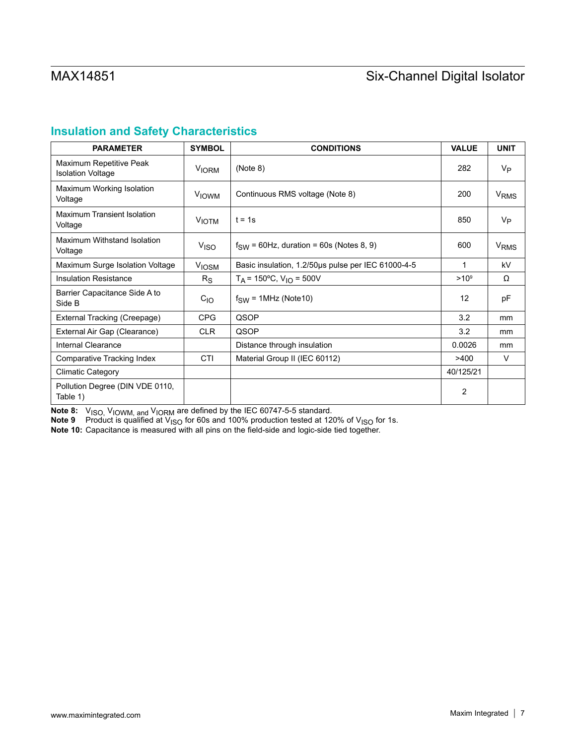# **Insulation and Safety Characteristics**

| <b>PARAMETER</b>                                    | <b>SYMBOL</b>    | <b>CONDITIONS</b>                                  | <b>VALUE</b>   | <b>UNIT</b>            |
|-----------------------------------------------------|------------------|----------------------------------------------------|----------------|------------------------|
| Maximum Repetitive Peak<br><b>Isolation Voltage</b> | <b>VIORM</b>     | (Note 8)                                           | 282            | V <sub>P</sub>         |
| Maximum Working Isolation<br>Voltage                | <b>VIOWM</b>     | Continuous RMS voltage (Note 8)                    | 200            | <b>V<sub>RMS</sub></b> |
| <b>Maximum Transient Isolation</b><br>Voltage       | <b>VIOTM</b>     | $t = 1s$                                           | 850            | V <sub>P</sub>         |
| Maximum Withstand Isolation<br>Voltage              | V <sub>ISO</sub> | $f_{SW}$ = 60Hz, duration = 60s (Notes 8, 9)       | 600            | <b>V<sub>RMS</sub></b> |
| Maximum Surge Isolation Voltage                     | <b>VIOSM</b>     | Basic insulation, 1.2/50us pulse per IEC 61000-4-5 | 1              | kV                     |
| <b>Insulation Resistance</b>                        | $R_{\rm S}$      | $T_A$ = 150°C, $V_{1O}$ = 500V                     | $>10^{9}$      | Ω                      |
| Barrier Capacitance Side A to<br>Side B             | $C_{1O}$         | $f_{SW}$ = 1MHz (Note 10)                          | 12             | pF                     |
| External Tracking (Creepage)                        | <b>CPG</b>       | QSOP                                               | 3.2            | mm                     |
| External Air Gap (Clearance)                        | <b>CLR</b>       | QSOP                                               | 3.2            | mm                     |
| Internal Clearance                                  |                  | Distance through insulation                        | 0.0026         | mm                     |
| Comparative Tracking Index                          | CTI              | Material Group II (IEC 60112)                      | >400           | $\vee$                 |
| <b>Climatic Category</b>                            |                  |                                                    | 40/125/21      |                        |
| Pollution Degree (DIN VDE 0110,<br>Table 1)         |                  |                                                    | $\overline{2}$ |                        |

**Note 8:**  $\,$  V<sub>ISO,</sub> V<sub>IOWM, and</sub> V<sub>IORM</sub> are defined by the IEC 60747-5-5 standard.

**Note 9** Product is qualified at V<sub>ISO</sub> for 60s and 100% production tested at 120% of V<sub>ISO</sub> for 1s.

**Note 10:** Capacitance is measured with all pins on the field-side and logic-side tied together.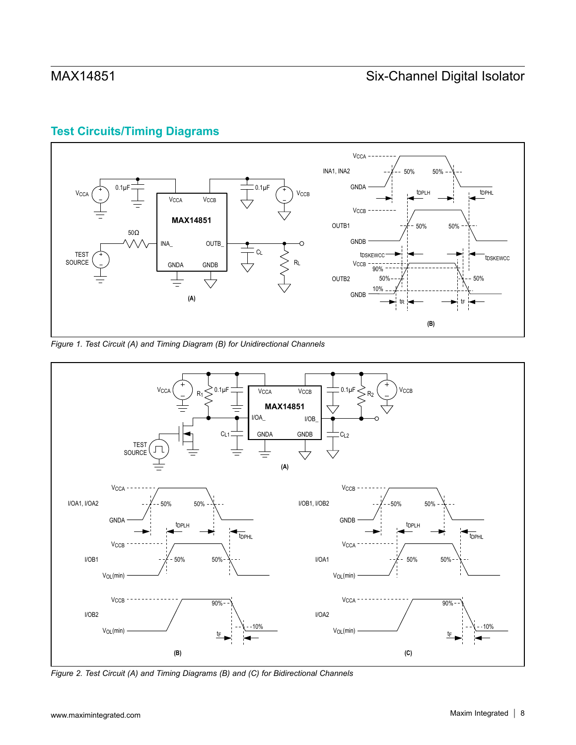# **Test Circuits/Timing Diagrams**



*Figure 1. Test Circuit (A) and Timing Diagram (B) for Unidirectional Channels*



*Figure 2. Test Circuit (A) and Timing Diagrams (B) and (C) for Bidirectional Channels*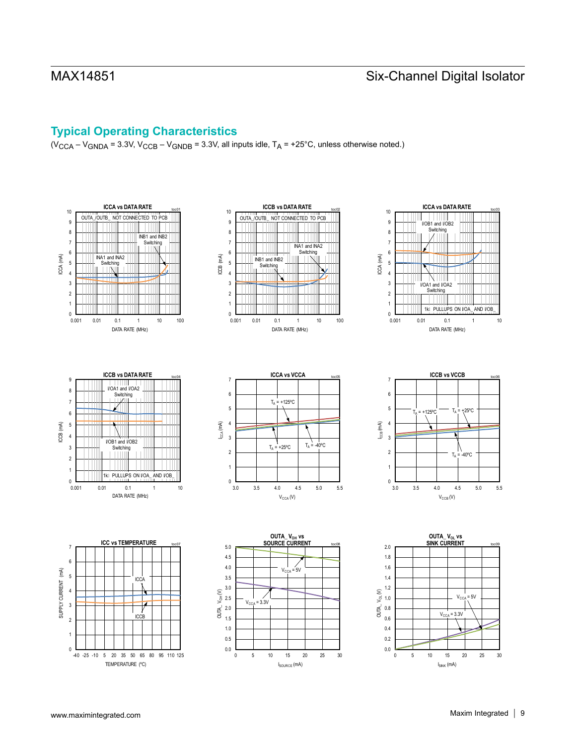# **Typical Operating Characteristics**

 $(V_{\text{CCA}} - V_{\text{GNDA}} = 3.3V, V_{\text{CCB}} - V_{\text{GNDB}} = 3.3V,$  all inputs idle,  $T_A = +25^{\circ}$ C, unless otherwise noted.)

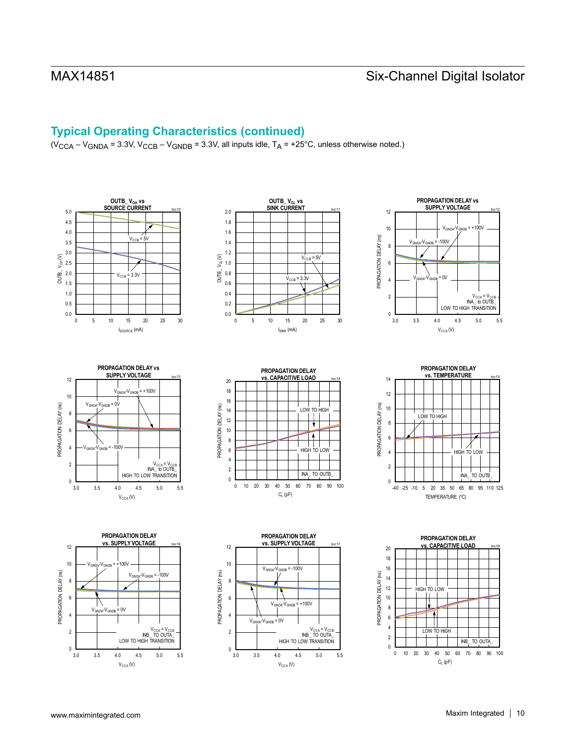# **Typical Operating Characteristics (continued)**

 $(V_{\text{CCA}} - V_{\text{GNDA}} = 3.3V, V_{\text{CCB}} - V_{\text{GNDB}} = 3.3V$ , all inputs idle,  $T_A = +25^{\circ}$ C, unless otherwise noted.)

















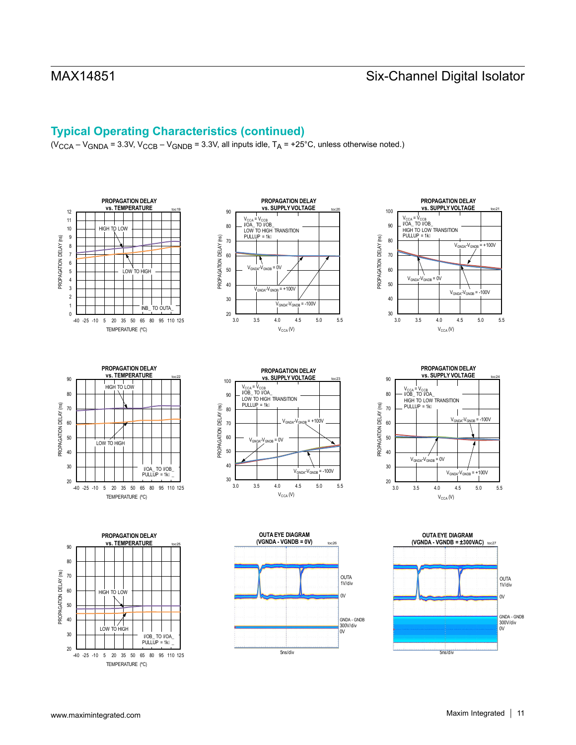## **Typical Operating Characteristics (continued)**

 $(V_{\text{CCA}} - V_{\text{GNDA}} = 3.3V, V_{\text{CCB}} - V_{\text{GNDB}} = 3.3V$ , all inputs idle,  $T_A = +25^{\circ}$ C, unless otherwise noted.)

















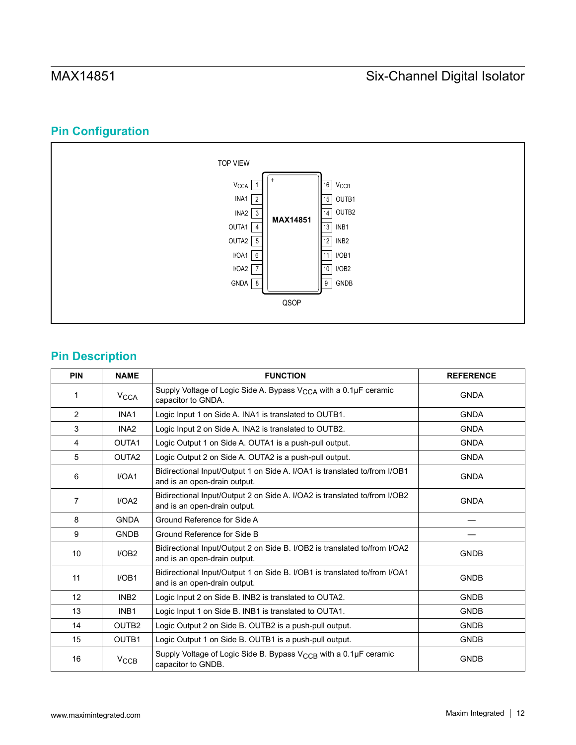# **Pin Configuration**



# **Pin Description**

| <b>PIN</b>     | <b>NAME</b>            | <b>FUNCTION</b>                                                                                           | <b>REFERENCE</b> |
|----------------|------------------------|-----------------------------------------------------------------------------------------------------------|------------------|
| 1              | <b>V<sub>CCA</sub></b> | Supply Voltage of Logic Side A. Bypass V <sub>CCA</sub> with a 0.1µF ceramic<br>capacitor to GNDA.        | <b>GNDA</b>      |
| 2              | INA1                   | Logic Input 1 on Side A. INA1 is translated to OUTB1.                                                     | <b>GNDA</b>      |
| 3              | INA <sub>2</sub>       | Logic Input 2 on Side A. INA2 is translated to OUTB2.                                                     | <b>GNDA</b>      |
| $\overline{4}$ | OUTA1                  | Logic Output 1 on Side A. OUTA1 is a push-pull output.                                                    | <b>GNDA</b>      |
| 5              | OUTA <sub>2</sub>      | Logic Output 2 on Side A. OUTA2 is a push-pull output.                                                    | <b>GNDA</b>      |
| 6              | I/OA1                  | Bidirectional Input/Output 1 on Side A. I/OA1 is translated to/from I/OB1<br>and is an open-drain output. | <b>GNDA</b>      |
| $\overline{7}$ | I/OA2                  | Bidirectional Input/Output 2 on Side A. I/OA2 is translated to/from I/OB2<br>and is an open-drain output. | <b>GNDA</b>      |
| 8              | <b>GNDA</b>            | Ground Reference for Side A                                                                               |                  |
| 9              | <b>GNDB</b>            | Ground Reference for Side B                                                                               |                  |
| 10             | I/OB2                  | Bidirectional Input/Output 2 on Side B. I/OB2 is translated to/from I/OA2<br>and is an open-drain output. | <b>GNDB</b>      |
| 11             | I/OB1                  | Bidirectional Input/Output 1 on Side B. I/OB1 is translated to/from I/OA1<br>and is an open-drain output. | <b>GNDB</b>      |
| 12             | INB <sub>2</sub>       | Logic Input 2 on Side B. INB2 is translated to OUTA2.                                                     | <b>GNDB</b>      |
| 13             | INB <sub>1</sub>       | Logic Input 1 on Side B. INB1 is translated to OUTA1.                                                     | <b>GNDB</b>      |
| 14             | OUTB <sub>2</sub>      | Logic Output 2 on Side B. OUTB2 is a push-pull output.                                                    | <b>GNDB</b>      |
| 15             | OUTB1                  | Logic Output 1 on Side B. OUTB1 is a push-pull output.                                                    | <b>GNDB</b>      |
| 16             | $V_{\text{CCB}}$       | Supply Voltage of Logic Side B. Bypass V <sub>CCB</sub> with a 0.1µF ceramic<br>capacitor to GNDB.        | <b>GNDB</b>      |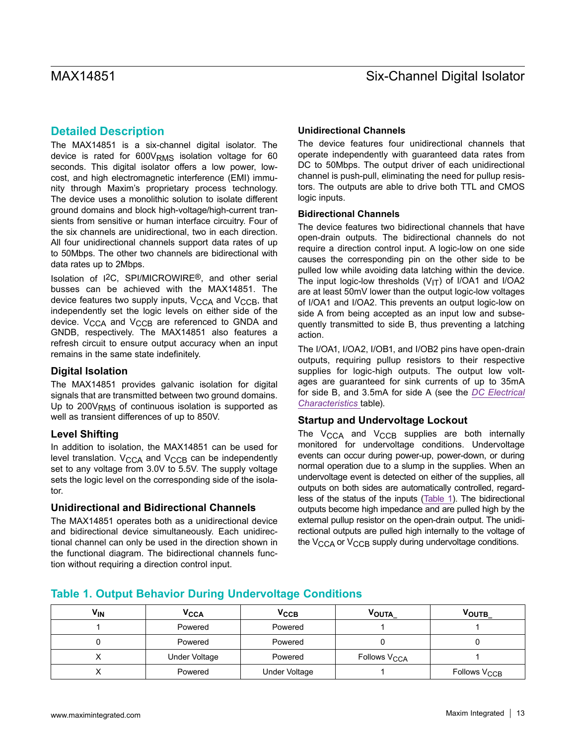## <span id="page-12-0"></span>**Detailed Description**

The MAX14851 is a six-channel digital isolator. The device is rated for  $600V<sub>RMS</sub>$  isolation voltage for 60 seconds. This digital isolator offers a low power, lowcost, and high electromagnetic interference (EMI) immunity through Maxim's proprietary process technology. The device uses a monolithic solution to isolate different ground domains and block high-voltage/high-current transients from sensitive or human interface circuitry. Four of the six channels are unidirectional, two in each direction. All four unidirectional channels support data rates of up to 50Mbps. The other two channels are bidirectional with data rates up to 2Mbps.

Isolation of I2C, SPI/MICROWIRE®, and other serial busses can be achieved with the MAX14851. The device features two supply inputs,  $V_{\text{CCA}}$  and  $V_{\text{CCB}}$ , that independently set the logic levels on either side of the device.  $V_{\text{CCA}}$  and  $V_{\text{CCR}}$  are referenced to GNDA and GNDB, respectively. The MAX14851 also features a refresh circuit to ensure output accuracy when an input remains in the same state indefinitely.

### **Digital Isolation**

The MAX14851 provides galvanic isolation for digital signals that are transmitted between two ground domains. Up to 200V<sub>RMS</sub> of continuous isolation is supported as well as transient differences of up to 850V.

### **Level Shifting**

In addition to isolation, the MAX14851 can be used for level translation.  $V_{\text{CCA}}$  and  $V_{\text{CCB}}$  can be independently set to any voltage from 3.0V to 5.5V. The supply voltage sets the logic level on the corresponding side of the isolator.

### **Unidirectional and Bidirectional Channels**

The MAX14851 operates both as a unidirectional device and bidirectional device simultaneously. Each unidirectional channel can only be used in the direction shown in the functional diagram. The bidirectional channels function without requiring a direction control input.

### **Unidirectional Channels**

The device features four unidirectional channels that operate independently with guaranteed data rates from DC to 50Mbps. The output driver of each unidirectional channel is push-pull, eliminating the need for pullup resistors. The outputs are able to drive both TTL and CMOS logic inputs.

### <span id="page-12-1"></span>**Bidirectional Channels**

The device features two bidirectional channels that have open-drain outputs. The bidirectional channels do not require a direction control input. A logic-low on one side causes the corresponding pin on the other side to be pulled low while avoiding data latching within the device. The input logic-low thresholds  $(V_{1T})$  of I/OA1 and I/OA2 are at least 50mV lower than the output logic-low voltages of I/OA1 and I/OA2. This prevents an output logic-low on side A from being accepted as an input low and subsequently transmitted to side B, thus preventing a latching action.

The I/OA1, I/OA2, I/OB1, and I/OB2 pins have open-drain outputs, requiring pullup resistors to their respective supplies for logic-high outputs. The output low voltages are guaranteed for sink currents of up to 35mA for side B, and 3.5mA for side A (see the *[DC Electrical](#page-1-0)  [Characteristics](#page-1-0)* table).

### **Startup and Undervoltage Lockout**

The  $V_{\text{CCA}}$  and  $V_{\text{CCB}}$  supplies are both internally monitored for undervoltage conditions. Undervoltage events can occur during power-up, power-down, or during normal operation due to a slump in the supplies. When an undervoltage event is detected on either of the supplies, all outputs on both sides are automatically controlled, regardless of the status of the inputs ([Table 1](#page-12-2)). The bidirectional outputs become high impedance and are pulled high by the external pullup resistor on the open-drain output. The unidirectional outputs are pulled high internally to the voltage of the V<sub>CCA</sub> or V<sub>CCB</sub> supply during undervoltage conditions.

## <span id="page-12-2"></span>**Table 1. Output Behavior During Undervoltage Conditions**

| <b>V<sub>IN</sub></b> | V <sub>CCA</sub> | $V_{\rm CCB}$        | VOUTA                    | VOUTB                    |
|-----------------------|------------------|----------------------|--------------------------|--------------------------|
|                       | Powered          | Powered              |                          |                          |
|                       | Powered          | Powered              |                          |                          |
|                       | Under Voltage    | Powered              | Follows V <sub>CCA</sub> |                          |
|                       | Powered          | <b>Under Voltage</b> |                          | Follows V <sub>CCB</sub> |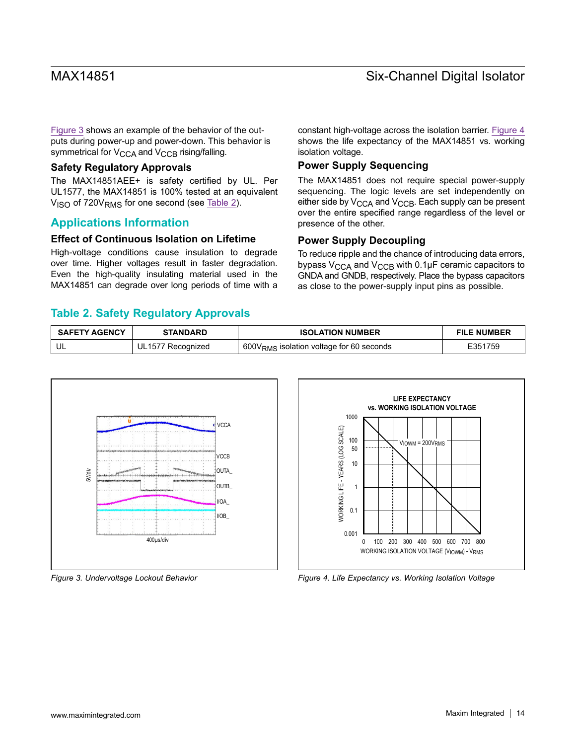[Figure 3](#page-13-0) shows an example of the behavior of the outputs during power-up and power-down. This behavior is symmetrical for V<sub>CCA</sub> and V<sub>CCB</sub> rising/falling.

### **Safety Regulatory Approvals**

The MAX14851AEE+ is safety certified by UL. Per UL1577, the MAX14851 is 100% tested at an equivalent  $V<sub>ISO</sub>$  of 720 $V<sub>RMS</sub>$  for one second (see [Table 2](#page-13-1)).

## **Applications Information**

### **Effect of Continuous Isolation on Lifetime**

High-voltage conditions cause insulation to degrade over time. Higher voltages result in faster degradation. Even the high-quality insulating material used in the MAX14851 can degrade over long periods of time with a constant high-voltage across the isolation barrier. [Figure 4](#page-13-2) shows the life expectancy of the MAX14851 vs. working isolation voltage.

### **Power Supply Sequencing**

The MAX14851 does not require special power-supply sequencing. The logic levels are set independently on either side by  $V_{\text{CCA}}$  and  $V_{\text{CCB}}$ . Each supply can be present over the entire specified range regardless of the level or presence of the other.

### **Power Supply Decoupling**

To reduce ripple and the chance of introducing data errors, bypass  $V_{\text{CCA}}$  and  $V_{\text{CCB}}$  with 0.1µF ceramic capacitors to GNDA and GNDB, respectively. Place the bypass capacitors as close to the power-supply input pins as possible.

## <span id="page-13-1"></span>**Table 2. Safety Regulatory Approvals**

| <b>SAFETY AGENCY</b><br><b>STANDARD</b> |                   | <b>ISOLATION NUMBER</b>                              | <b>FILE NUMBER</b> |  |
|-----------------------------------------|-------------------|------------------------------------------------------|--------------------|--|
|                                         | UL1577 Recognized | 600V <sub>RMS</sub> isolation voltage for 60 seconds | E351759            |  |

<span id="page-13-0"></span>

<span id="page-13-2"></span>

*Figure 3. Undervoltage Lockout Behavior Figure 4. Life Expectancy vs. Working Isolation Voltage*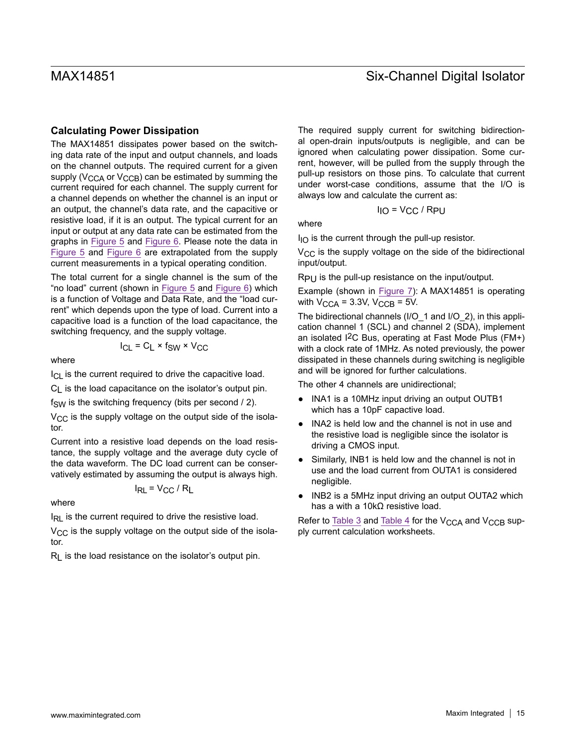### **Calculating Power Dissipation**

The MAX14851 dissipates power based on the switching data rate of the input and output channels, and loads on the channel outputs. The required current for a given supply ( $V_{\text{CCA}}$  or  $V_{\text{CCB}}$ ) can be estimated by summing the current required for each channel. The supply current for a channel depends on whether the channel is an input or an output, the channel's data rate, and the capacitive or resistive load, if it is an output. The typical current for an input or output at any data rate can be estimated from the graphs in [Figure 5](#page-15-0) and [Figure 6.](#page-15-1) Please note the data in [Figure 5](#page-15-0) and [Figure 6](#page-15-1) are extrapolated from the supply current measurements in a typical operating condition.

The total current for a single channel is the sum of the "no load" current (shown in [Figure 5](#page-15-0) and [Figure 6\)](#page-15-1) which is a function of Voltage and Data Rate, and the "load current" which depends upon the type of load. Current into a capacitive load is a function of the load capacitance, the switching frequency, and the supply voltage.

$$
I_{CL} = C_L \times f_{SW} \times V_{CC}
$$

where

 $I_{\text{Cl}}$  is the current required to drive the capacitive load.

C<sub>L</sub> is the load capacitance on the isolator's output pin.

 $f_{SW}$  is the switching frequency (bits per second / 2).

 $V_{CC}$  is the supply voltage on the output side of the isolator.

Current into a resistive load depends on the load resistance, the supply voltage and the average duty cycle of the data waveform. The DC load current can be conservatively estimated by assuming the output is always high.

$$
I_{RL} = V_{CC} / R_L
$$

where

IRL is the current required to drive the resistive load.

 $V_{\rm CC}$  is the supply voltage on the output side of the isolator.

 $R<sub>l</sub>$  is the load resistance on the isolator's output pin.

The required supply current for switching bidirectional open-drain inputs/outputs is negligible, and can be ignored when calculating power dissipation. Some current, however, will be pulled from the supply through the pull-up resistors on those pins. To calculate that current under worst-case conditions, assume that the I/O is always low and calculate the current as:

$$
I_{IO} = V_{CC} / R_{PU}
$$

where

 $I_{IO}$  is the current through the pull-up resistor.

 $V_{\text{CC}}$  is the supply voltage on the side of the bidirectional input/output.

RPU is the pull-up resistance on the input/output.

Example (shown in [Figure 7\)](#page-16-0): A MAX14851 is operating with  $V_{\text{CCA}}$  = 3.3V,  $V_{\text{CCB}}$  = 5V.

The bidirectional channels (I/O 1 and I/O 2), in this application channel 1 (SCL) and channel 2 (SDA), implement an isolated I2C Bus, operating at Fast Mode Plus (FM+) with a clock rate of 1MHz. As noted previously, the power dissipated in these channels during switching is negligible and will be ignored for further calculations.

The other 4 channels are unidirectional;

- INA1 is a 10MHz input driving an output OUTB1 which has a 10pF capactive load.
- INA2 is held low and the channel is not in use and the resistive load is negligible since the isolator is driving a CMOS input.
- Similarly, INB1 is held low and the channel is not in use and the load current from OUTA1 is considered negligible.
- INB2 is a 5MHz input driving an output OUTA2 which has a with a 10kΩ resistive load.

Refer to [Table 3](#page-15-2) and [Table 4](#page-15-3) for the  $V_{\text{CCA}}$  and  $V_{\text{CCR}}$  supply current calculation worksheets.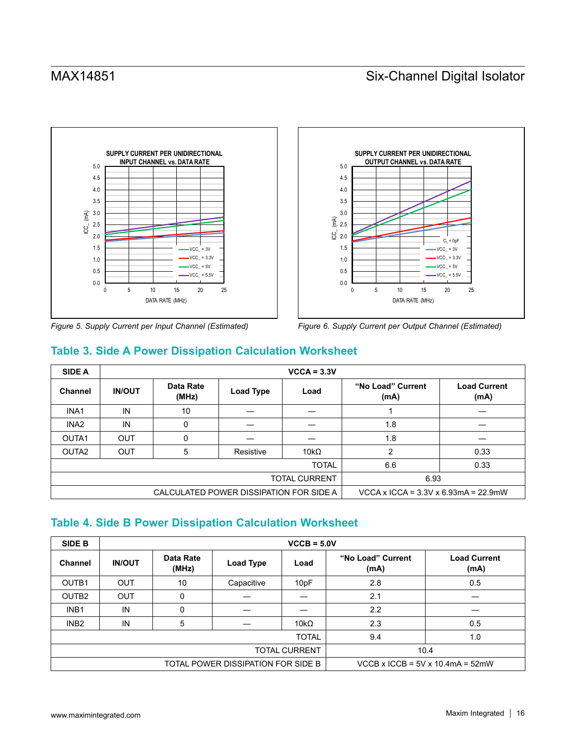<span id="page-15-0"></span>

<span id="page-15-1"></span>

*Figure 5. Supply Current per Input Channel (Estimated) Figure 6. Supply Current per Output Channel (Estimated)*

# <span id="page-15-2"></span>**Table 3. Side A Power Dissipation Calculation Worksheet**

| <b>SIDE A</b>                           |               |                    |                                           | $VCCA = 3.3V$ |                           |                             |
|-----------------------------------------|---------------|--------------------|-------------------------------------------|---------------|---------------------------|-----------------------------|
| <b>Channel</b>                          | <b>IN/OUT</b> | Data Rate<br>(MHz) | Load Type                                 | Load          | "No Load" Current<br>(mA) | <b>Load Current</b><br>(mA) |
| INA <sub>1</sub>                        | IN            | 10                 |                                           |               |                           |                             |
| INA <sub>2</sub>                        | IN            | 0                  |                                           |               | 1.8                       |                             |
| OUTA1                                   | <b>OUT</b>    | 0                  |                                           |               | 1.8                       |                             |
| OUTA <sub>2</sub>                       | OUT           | 5                  | Resistive                                 | 10k $\Omega$  | 2                         | 0.33                        |
| <b>TOTAL</b>                            |               |                    |                                           |               | 6.6                       | 0.33                        |
| <b>TOTAL CURRENT</b>                    |               |                    |                                           |               | 6.93                      |                             |
| CALCULATED POWER DISSIPATION FOR SIDE A |               |                    | VCCA x ICCA = $3.3V$ x 6.93mA = $22.9$ mW |               |                           |                             |

# <span id="page-15-3"></span>**Table 4. Side B Power Dissipation Calculation Worksheet**

| <b>SIDE B</b>                      | $VCCB = 5.0V$ |                    |            |                                       |                           |                             |
|------------------------------------|---------------|--------------------|------------|---------------------------------------|---------------------------|-----------------------------|
| Channel                            | <b>IN/OUT</b> | Data Rate<br>(MHz) | Load Type  | Load                                  | "No Load" Current<br>(mA) | <b>Load Current</b><br>(mA) |
| OUTB1                              | <b>OUT</b>    | 10                 | Capacitive | 10pF                                  | 2.8                       | 0.5                         |
| OUTB <sub>2</sub>                  | <b>OUT</b>    | 0                  |            |                                       | 2.1                       |                             |
| INB <sub>1</sub>                   | IN            | 0                  |            |                                       | 2.2                       |                             |
| INB <sub>2</sub>                   | IN            | 5                  |            | 10 $k\Omega$                          | 2.3                       | 0.5                         |
| <b>TOTAL</b>                       |               |                    |            |                                       | 9.4                       | 1.0                         |
| TOTAL CURRENT                      |               |                    |            | 10.4                                  |                           |                             |
| TOTAL POWER DISSIPATION FOR SIDE B |               |                    |            | VCCB x ICCB = $5V$ x 10.4mA = $52$ mW |                           |                             |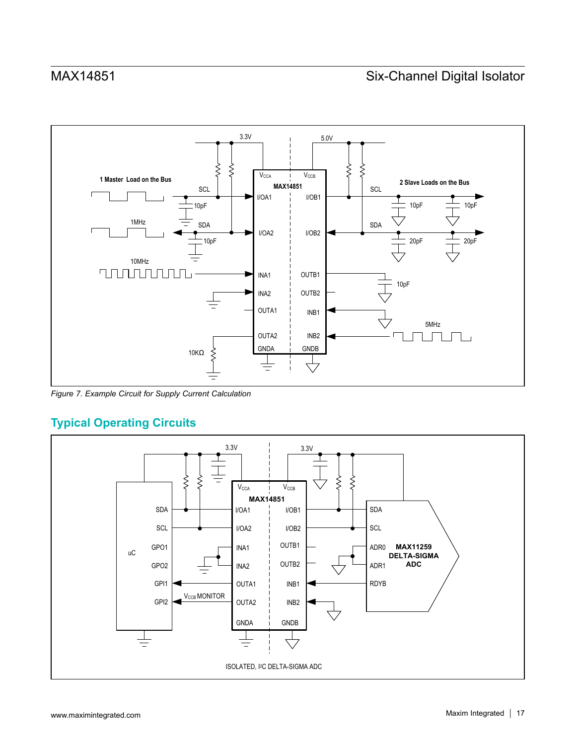<span id="page-16-0"></span>

*Figure 7. Example Circuit for Supply Current Calculation*

# **Typical Operating Circuits**

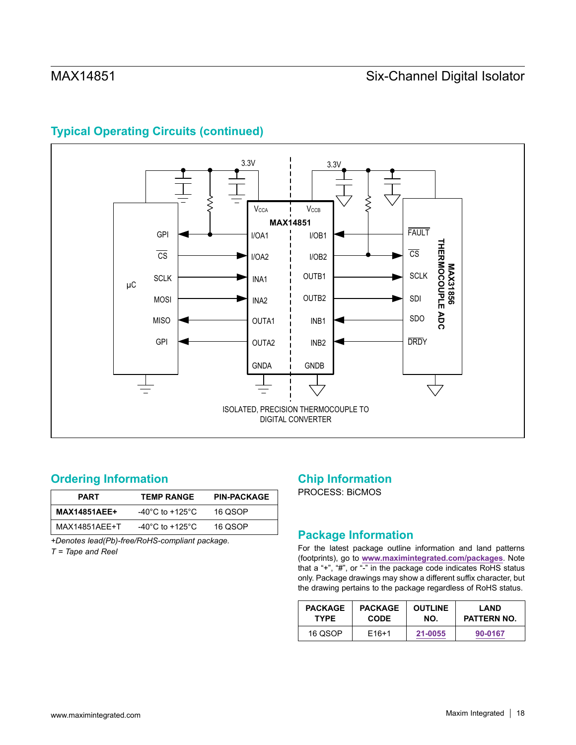

# **Typical Operating Circuits (continued)**

## <span id="page-17-0"></span>**Ordering Information**

| <b>PART</b>         | <b>TEMP RANGE</b> | <b>PIN-PACKAGE</b> |  |
|---------------------|-------------------|--------------------|--|
| <b>MAX14851AEE+</b> | -40°C to +125°C   | 16 QSOP            |  |
| MAX14851AEE+T       | -40°C to +125°C   | 16 QSOP            |  |

*+Denotes lead(Pb)-free/RoHS-compliant package.*

*T = Tape and Reel*

# **Chip Information**

PROCESS: BiCMOS

# **Package Information**

For the latest package outline information and land patterns (footprints), go to **[www.maximintegrated.com/packages](http://www.maximintegrated.com/packages)**. Note that a "+", "#", or "-" in the package code indicates RoHS status only. Package drawings may show a different suffix character, but the drawing pertains to the package regardless of RoHS status.

| <b>PACKAGE</b> | <b>PACKAGE</b>    | <b>OUTLINE</b> | LAND        |  |
|----------------|-------------------|----------------|-------------|--|
| <b>TYPE</b>    | <b>CODE</b>       | NO.            | PATTERN NO. |  |
| 16 QSOP        | F <sub>16+1</sub> | 21-0055        | 90-0167     |  |